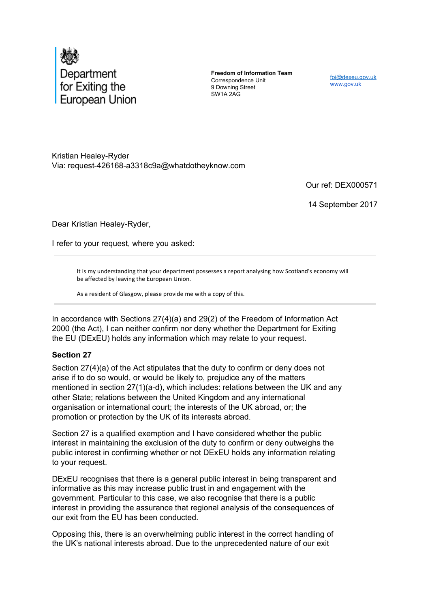

**Freedom of Information Team** Correspondence Unit 9 Downing Street SW1A 2AG

foi@dexeu.gov.uk www.gov.uk

Kristian Healey-Ryder Via: request-426168-a3318c9a@whatdotheyknow.com

Our ref: DEX000571

14 September 2017

Dear Kristian Healey-Ryder,

I refer to your request, where you asked:

It is my understanding that your department possesses a report analysing how Scotland's economy will be affected by leaving the European Union.

As a resident of Glasgow, please provide me with a copy of this.

In accordance with Sections 27(4)(a) and 29(2) of the Freedom of Information Act 2000 (the Act), I can neither confirm nor deny whether the Department for Exiting the EU (DExEU) holds any information which may relate to your request.

## **Section 27**

Section 27(4)(a) of the Act stipulates that the duty to confirm or deny does not arise if to do so would, or would be likely to, prejudice any of the matters mentioned in section 27(1)(a-d), which includes: relations between the UK and any other State; relations between the United Kingdom and any international organisation or international court; the interests of the UK abroad, or; the promotion or protection by the UK of its interests abroad.

Section 27 is a qualified exemption and I have considered whether the public interest in maintaining the exclusion of the duty to confirm or deny outweighs the public interest in confirming whether or not DExEU holds any information relating to your request.

DExEU recognises that there is a general public interest in being transparent and informative as this may increase public trust in and engagement with the government. Particular to this case, we also recognise that there is a public interest in providing the assurance that regional analysis of the consequences of our exit from the EU has been conducted.

Opposing this, there is an overwhelming public interest in the correct handling of the UK's national interests abroad. Due to the unprecedented nature of our exit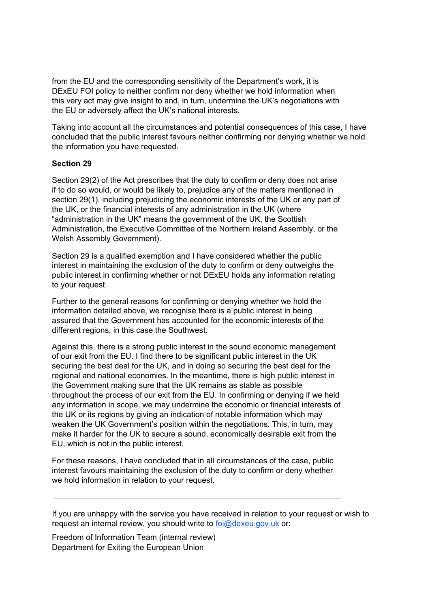from the EU and the corresponding sensitivity of the Department's work, it is DExEU FOI policy to neither confirm nor deny whether we hold information when this very act may give insight to and, in turn, undermine the UK's negotiations with the EU or adversely affect the UK's national interests.

Taking into account all the circumstances and potential consequences of this case, I have concluded that the public interest favours neither confirming nor denying whether we hold the information you have requested.

## **Section 29**

Section 29(2) of the Act prescribes that the duty to confirm or deny does not arise if to do so would, or would be likely to, prejudice any of the matters mentioned in section 29(1), including prejudicing the economic interests of the UK or any part of the UK, or the financial interests of any administration in the UK (where "administration in the UK" means the government of the UK, the Scottish Administration, the Executive Committee of the Northern Ireland Assembly, or the Welsh Assembly Government).

Section 29 is a qualified exemption and I have considered whether the public interest in maintaining the exclusion of the duty to confirm or deny outweighs the public interest in confirming whether or not DExEU holds any information relating to your request.

Further to the general reasons for confirming or denying whether we hold the information detailed above, we recognise there is a public interest in being assured that the Government has accounted for the economic interests of the different regions, in this case the Southwest.

Against this, there is a strong public interest in the sound economic management of our exit from the EU. I find there to be significant public interest in the UK securing the best deal for the UK, and in doing so securing the best deal for the regional and national economies. In the meantime, there is high public interest in the Government making sure that the UK remains as stable as possible throughout the process of our exit from the EU. In confirming or denying if we held any information in scope, we may undermine the economic or financial interests of the UK or its regions by giving an indication of notable information which may weaken the UK Government's position within the negotiations. This, in turn, may make it harder for the UK to secure a sound, economically desirable exit from the EU, which is not in the public interest.

For these reasons, I have concluded that in all circumstances of the case, public interest favours maintaining the exclusion of the duty to confirm or deny whether we hold information in relation to your request.

If you are unhappy with the service you have received in relation to your request or wish to request an internal review, you should write to foi@dexeu.gov.uk or:

Freedom of Information Team (internal review) Department for Exiting the European Union